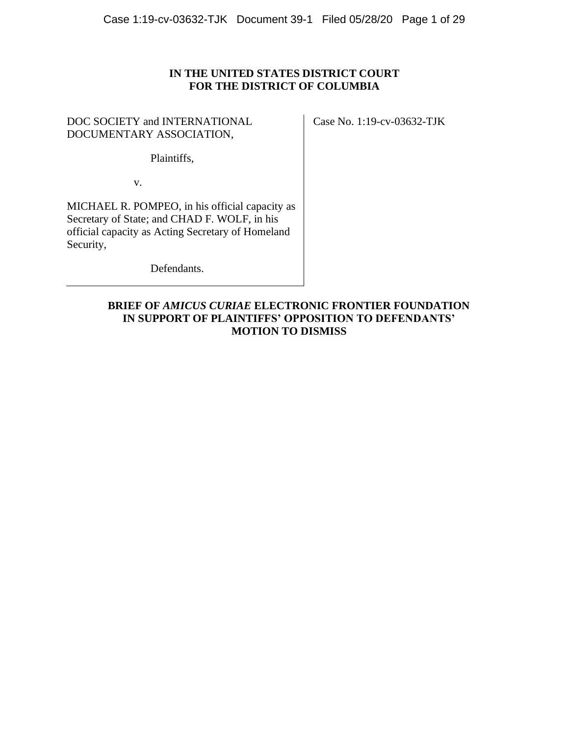## **IN THE UNITED STATES DISTRICT COURT FOR THE DISTRICT OF COLUMBIA**

### DOC SOCIETY and INTERNATIONAL DOCUMENTARY ASSOCIATION,

Case No. 1:19-cv-03632-TJK

Plaintiffs,

v.

MICHAEL R. POMPEO, in his official capacity as Secretary of State; and CHAD F. WOLF, in his official capacity as Acting Secretary of Homeland Security,

Defendants.

## **BRIEF OF** *AMICUS CURIAE* **ELECTRONIC FRONTIER FOUNDATION IN SUPPORT OF PLAINTIFFS' OPPOSITION TO DEFENDANTS' MOTION TO DISMISS**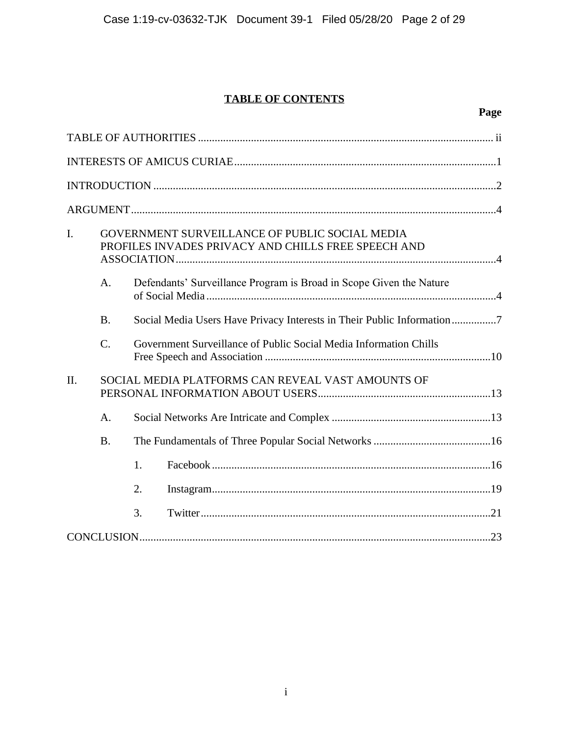# **TABLE OF CONTENTS**

| I.  |                 | GOVERNMENT SURVEILLANCE OF PUBLIC SOCIAL MEDIA<br>PROFILES INVADES PRIVACY AND CHILLS FREE SPEECH AND |                                                                        |  |  |
|-----|-----------------|-------------------------------------------------------------------------------------------------------|------------------------------------------------------------------------|--|--|
|     | A.              |                                                                                                       | Defendants' Surveillance Program is Broad in Scope Given the Nature    |  |  |
|     | <b>B.</b>       |                                                                                                       | Social Media Users Have Privacy Interests in Their Public Information7 |  |  |
|     | $\mathcal{C}$ . |                                                                                                       | Government Surveillance of Public Social Media Information Chills      |  |  |
| II. |                 |                                                                                                       | SOCIAL MEDIA PLATFORMS CAN REVEAL VAST AMOUNTS OF                      |  |  |
|     | A.              |                                                                                                       |                                                                        |  |  |
|     | <b>B.</b>       |                                                                                                       |                                                                        |  |  |
|     |                 | 1.                                                                                                    |                                                                        |  |  |
|     |                 | 2.                                                                                                    |                                                                        |  |  |
|     |                 | 3.                                                                                                    |                                                                        |  |  |
|     |                 |                                                                                                       |                                                                        |  |  |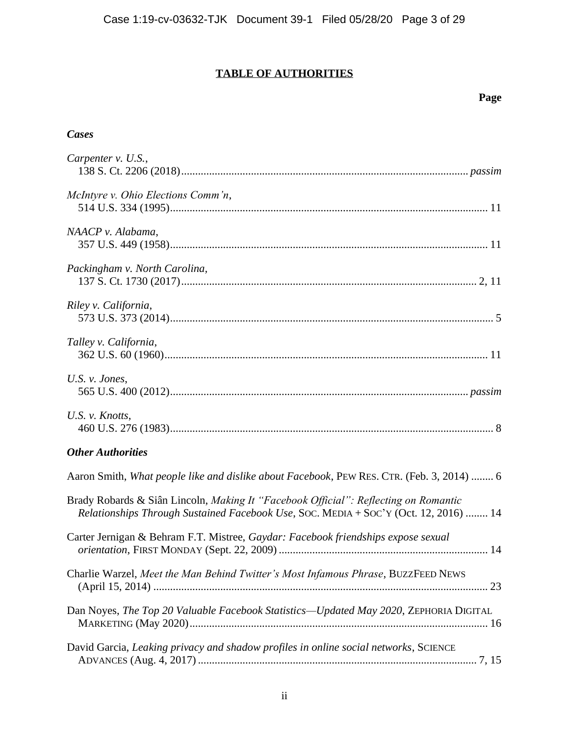# **TABLE OF AUTHORITIES**

## **Page**

## *Cases*

| Carpenter v. U.S.,                                                                                                                                                          |
|-----------------------------------------------------------------------------------------------------------------------------------------------------------------------------|
| McIntyre v. Ohio Elections Comm'n,                                                                                                                                          |
| NAACP v. Alabama,                                                                                                                                                           |
| Packingham v. North Carolina,                                                                                                                                               |
| Riley v. California,                                                                                                                                                        |
| Talley v. California,                                                                                                                                                       |
| $U.S.$ v. Jones,                                                                                                                                                            |
| U.S. v. Knotts,                                                                                                                                                             |
| <b>Other Authorities</b>                                                                                                                                                    |
| Aaron Smith, What people like and dislike about Facebook, PEW RES. CTR. (Feb. 3, 2014)  6                                                                                   |
| Brady Robards & Siân Lincoln, Making It "Facebook Official": Reflecting on Romantic<br>Relationships Through Sustained Facebook Use, Soc. MEDIA + Soc'Y (Oct. 12, 2016)  14 |
| Carter Jernigan & Behram F.T. Mistree, Gaydar: Facebook friendships expose sexual                                                                                           |
| Charlie Warzel, Meet the Man Behind Twitter's Most Infamous Phrase, BUZZFEED NEWS                                                                                           |
| Dan Noyes, The Top 20 Valuable Facebook Statistics-Updated May 2020, ZEPHORIA DIGITAL                                                                                       |
| David Garcia, Leaking privacy and shadow profiles in online social networks, SCIENCE                                                                                        |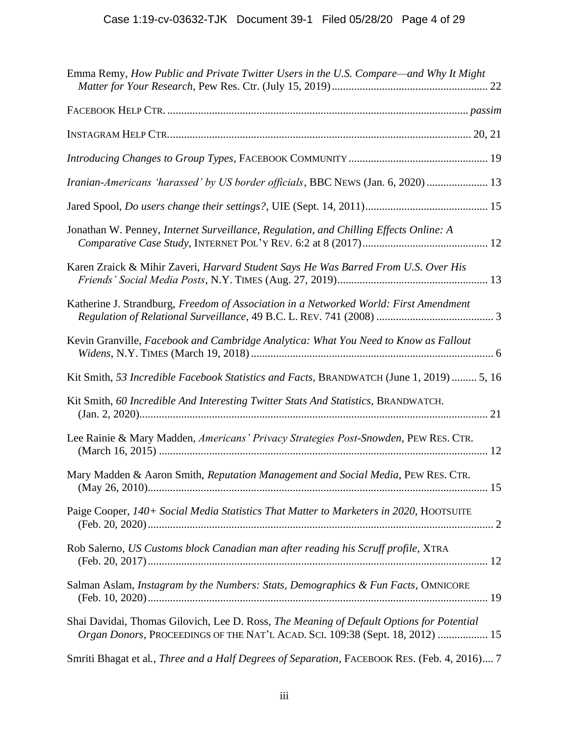| Emma Remy, How Public and Private Twitter Users in the U.S. Compare—and Why It Might                                                                                      |
|---------------------------------------------------------------------------------------------------------------------------------------------------------------------------|
|                                                                                                                                                                           |
|                                                                                                                                                                           |
|                                                                                                                                                                           |
| Iranian-Americans 'harassed' by US border officials, BBC NEWS (Jan. 6, 2020)  13                                                                                          |
|                                                                                                                                                                           |
| Jonathan W. Penney, Internet Surveillance, Regulation, and Chilling Effects Online: A                                                                                     |
| Karen Zraick & Mihir Zaveri, Harvard Student Says He Was Barred From U.S. Over His                                                                                        |
| Katherine J. Strandburg, Freedom of Association in a Networked World: First Amendment                                                                                     |
| Kevin Granville, Facebook and Cambridge Analytica: What You Need to Know as Fallout                                                                                       |
| Kit Smith, 53 Incredible Facebook Statistics and Facts, BRANDWATCH (June 1, 2019)  5, 16                                                                                  |
| Kit Smith, 60 Incredible And Interesting Twitter Stats And Statistics, BRANDWATCH.                                                                                        |
| Lee Rainie & Mary Madden, Americans' Privacy Strategies Post-Snowden, PEW RES. CTR.                                                                                       |
| Mary Madden & Aaron Smith, Reputation Management and Social Media, PEW RES. CTR.                                                                                          |
| Paige Cooper, 140+ Social Media Statistics That Matter to Marketers in 2020, HOOTSUITE                                                                                    |
| Rob Salerno, US Customs block Canadian man after reading his Scruff profile, XTRA                                                                                         |
| Salman Aslam, Instagram by the Numbers: Stats, Demographics & Fun Facts, OMNICORE                                                                                         |
| Shai Davidai, Thomas Gilovich, Lee D. Ross, The Meaning of Default Options for Potential<br>Organ Donors, PROCEEDINGS OF THE NAT'L ACAD. SCI. 109:38 (Sept. 18, 2012)  15 |
| Smriti Bhagat et al., Three and a Half Degrees of Separation, FACEBOOK RES. (Feb. 4, 2016) 7                                                                              |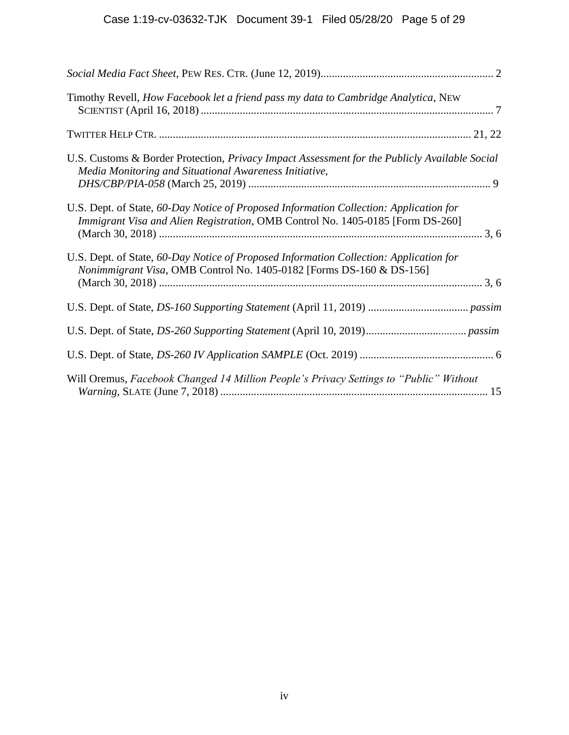| Timothy Revell, How Facebook let a friend pass my data to Cambridge Analytica, NEW                                                                                       |
|--------------------------------------------------------------------------------------------------------------------------------------------------------------------------|
|                                                                                                                                                                          |
| U.S. Customs & Border Protection, Privacy Impact Assessment for the Publicly Available Social<br>Media Monitoring and Situational Awareness Initiative,                  |
|                                                                                                                                                                          |
| U.S. Dept. of State, 60-Day Notice of Proposed Information Collection: Application for<br>Immigrant Visa and Alien Registration, OMB Control No. 1405-0185 [Form DS-260] |
| U.S. Dept. of State, 60-Day Notice of Proposed Information Collection: Application for<br>Nonimmigrant Visa, OMB Control No. 1405-0182 [Forms DS-160 & DS-156]           |
|                                                                                                                                                                          |
|                                                                                                                                                                          |
|                                                                                                                                                                          |
| Will Oremus, Facebook Changed 14 Million People's Privacy Settings to "Public" Without                                                                                   |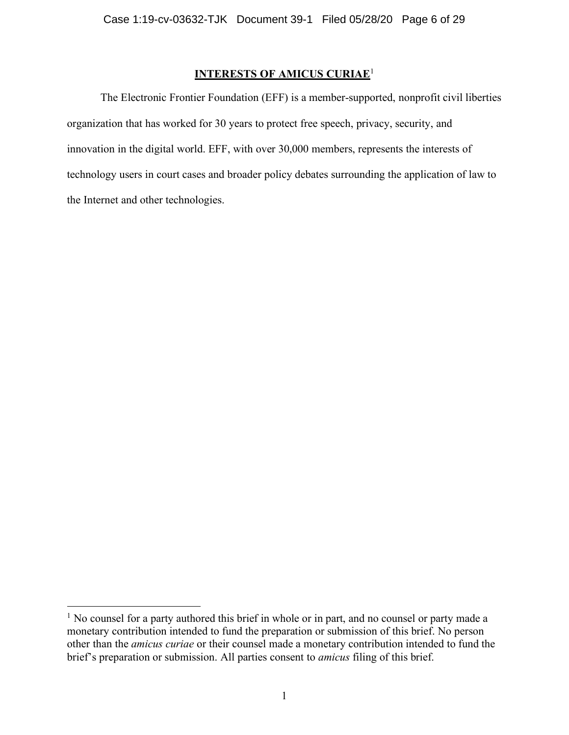### **INTERESTS OF AMICUS CURIAE**<sup>1</sup>

The Electronic Frontier Foundation (EFF) is a member-supported, nonprofit civil liberties organization that has worked for 30 years to protect free speech, privacy, security, and innovation in the digital world. EFF, with over 30,000 members, represents the interests of technology users in court cases and broader policy debates surrounding the application of law to the Internet and other technologies.

<sup>&</sup>lt;sup>1</sup> No counsel for a party authored this brief in whole or in part, and no counsel or party made a monetary contribution intended to fund the preparation or submission of this brief. No person other than the *amicus curiae* or their counsel made a monetary contribution intended to fund the brief's preparation or submission. All parties consent to *amicus* filing of this brief.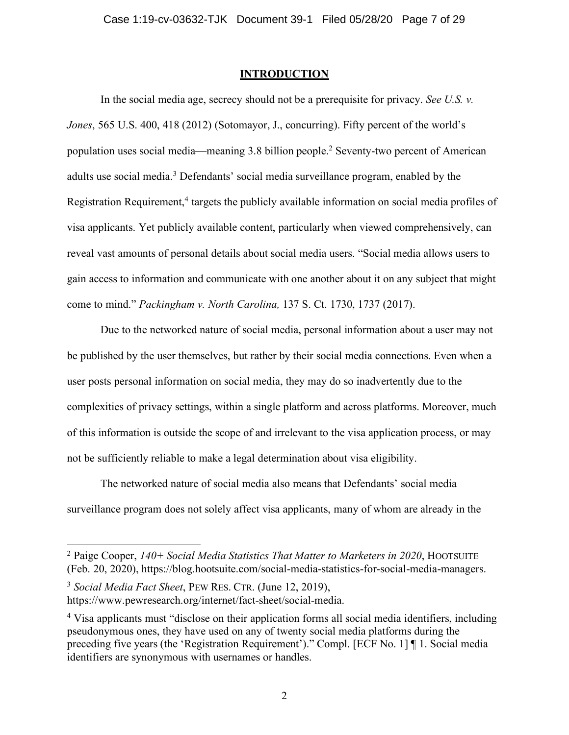### **INTRODUCTION**

In the social media age, secrecy should not be a prerequisite for privacy. *See U.S. v. Jones*, 565 U.S. 400, 418 (2012) (Sotomayor, J., concurring). Fifty percent of the world's population uses social media—meaning 3.8 billion people.2 Seventy-two percent of American adults use social media.3 Defendants' social media surveillance program, enabled by the Registration Requirement, <sup>4</sup> targets the publicly available information on social media profiles of visa applicants. Yet publicly available content, particularly when viewed comprehensively, can reveal vast amounts of personal details about social media users. "Social media allows users to gain access to information and communicate with one another about it on any subject that might come to mind." *Packingham v. North Carolina,* 137 S. Ct. 1730, 1737 (2017).

Due to the networked nature of social media, personal information about a user may not be published by the user themselves, but rather by their social media connections. Even when a user posts personal information on social media, they may do so inadvertently due to the complexities of privacy settings, within a single platform and across platforms. Moreover, much of this information is outside the scope of and irrelevant to the visa application process, or may not be sufficiently reliable to make a legal determination about visa eligibility.

The networked nature of social media also means that Defendants' social media surveillance program does not solely affect visa applicants, many of whom are already in the

https://www.pewresearch.org/internet/fact-sheet/social-media.

<sup>2</sup> Paige Cooper, *140+ Social Media Statistics That Matter to Marketers in 2020*, HOOTSUITE (Feb. 20, 2020), https://blog.hootsuite.com/social-media-statistics-for-social-media-managers.

<sup>3</sup> *Social Media Fact Sheet*, PEW RES. CTR. (June 12, 2019),

<sup>4</sup> Visa applicants must "disclose on their application forms all social media identifiers, including pseudonymous ones, they have used on any of twenty social media platforms during the preceding five years (the 'Registration Requirement')." Compl. [ECF No. 1] ¶ 1. Social media identifiers are synonymous with usernames or handles.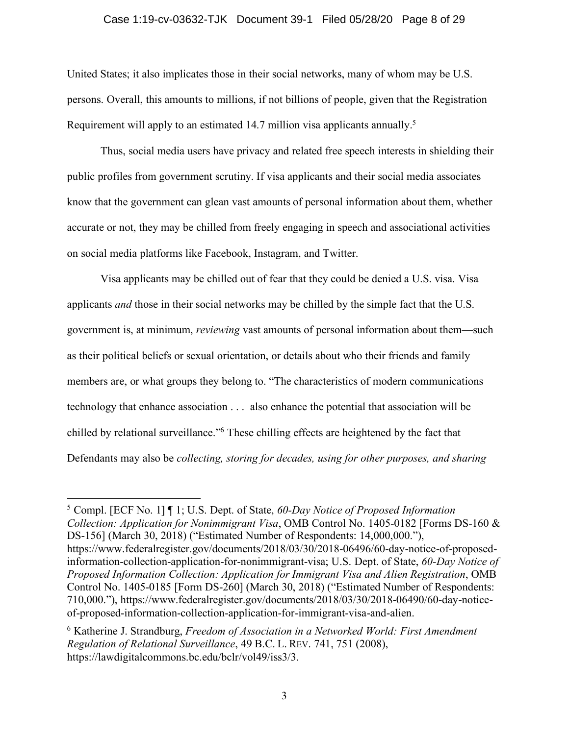### Case 1:19-cv-03632-TJK Document 39-1 Filed 05/28/20 Page 8 of 29

United States; it also implicates those in their social networks, many of whom may be U.S. persons. Overall, this amounts to millions, if not billions of people, given that the Registration Requirement will apply to an estimated 14.7 million visa applicants annually.<sup>5</sup>

Thus, social media users have privacy and related free speech interests in shielding their public profiles from government scrutiny. If visa applicants and their social media associates know that the government can glean vast amounts of personal information about them, whether accurate or not, they may be chilled from freely engaging in speech and associational activities on social media platforms like Facebook, Instagram, and Twitter.

Visa applicants may be chilled out of fear that they could be denied a U.S. visa. Visa applicants *and* those in their social networks may be chilled by the simple fact that the U.S. government is, at minimum, *reviewing* vast amounts of personal information about them—such as their political beliefs or sexual orientation, or details about who their friends and family members are, or what groups they belong to. "The characteristics of modern communications technology that enhance association . . . also enhance the potential that association will be chilled by relational surveillance."6 These chilling effects are heightened by the fact that Defendants may also be *collecting, storing for decades, using for other purposes, and sharing* 

 <sup>5</sup> Compl. [ECF No. 1] ¶ 1; U.S. Dept. of State, *60-Day Notice of Proposed Information Collection: Application for Nonimmigrant Visa*, OMB Control No. 1405-0182 [Forms DS-160 & DS-156] (March 30, 2018) ("Estimated Number of Respondents: 14,000,000."), https://www.federalregister.gov/documents/2018/03/30/2018-06496/60-day-notice-of-proposedinformation-collection-application-for-nonimmigrant-visa; U.S. Dept. of State, *60-Day Notice of Proposed Information Collection: Application for Immigrant Visa and Alien Registration*, OMB Control No. 1405-0185 [Form DS-260] (March 30, 2018) ("Estimated Number of Respondents: 710,000."), https://www.federalregister.gov/documents/2018/03/30/2018-06490/60-day-noticeof-proposed-information-collection-application-for-immigrant-visa-and-alien.

<sup>6</sup> Katherine J. Strandburg, *Freedom of Association in a Networked World: First Amendment Regulation of Relational Surveillance*, 49 B.C. L. REV. 741, 751 (2008), https://lawdigitalcommons.bc.edu/bclr/vol49/iss3/3.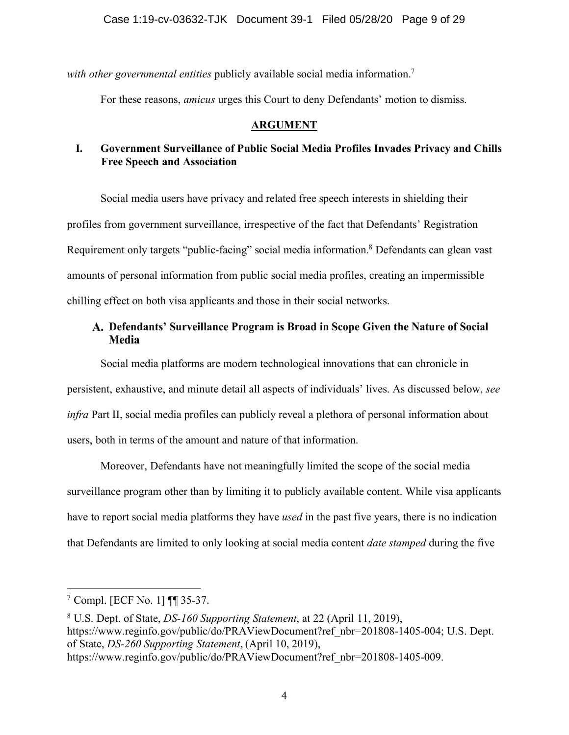*with other governmental entities* publicly available social media information.7

For these reasons, *amicus* urges this Court to deny Defendants' motion to dismiss.

## **ARGUMENT**

## **I. Government Surveillance of Public Social Media Profiles Invades Privacy and Chills Free Speech and Association**

Social media users have privacy and related free speech interests in shielding their profiles from government surveillance, irrespective of the fact that Defendants' Registration Requirement only targets "public-facing" social media information.<sup>8</sup> Defendants can glean vast amounts of personal information from public social media profiles, creating an impermissible chilling effect on both visa applicants and those in their social networks.

# A. Defendants' Surveillance Program is Broad in Scope Given the Nature of Social Media

Social media platforms are modern technological innovations that can chronicle in persistent, exhaustive, and minute detail all aspects of individuals' lives. As discussed below, *see infra* Part II, social media profiles can publicly reveal a plethora of personal information about users, both in terms of the amount and nature of that information.

Moreover, Defendants have not meaningfully limited the scope of the social media surveillance program other than by limiting it to publicly available content. While visa applicants have to report social media platforms they have *used* in the past five years, there is no indication that Defendants are limited to only looking at social media content *date stamped* during the five

 <sup>7</sup> Compl. [ECF No. 1] ¶¶ 35-37.

<sup>8</sup> U.S. Dept. of State, *DS-160 Supporting Statement*, at 22 (April 11, 2019), https://www.reginfo.gov/public/do/PRAViewDocument?ref\_nbr=201808-1405-004; U.S. Dept. of State, *DS-260 Supporting Statement*, (April 10, 2019), https://www.reginfo.gov/public/do/PRAViewDocument?ref\_nbr=201808-1405-009.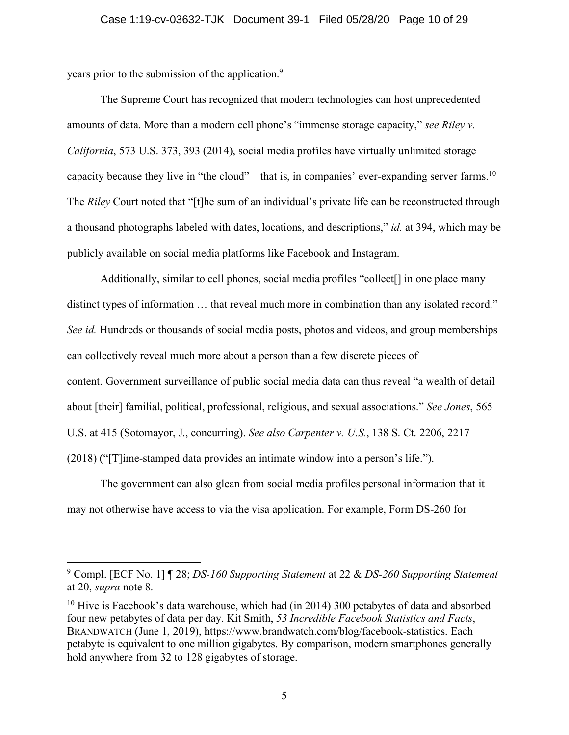years prior to the submission of the application.<sup>9</sup>

The Supreme Court has recognized that modern technologies can host unprecedented amounts of data. More than a modern cell phone's "immense storage capacity," *see Riley v. California*, 573 U.S. 373, 393 (2014), social media profiles have virtually unlimited storage capacity because they live in "the cloud"—that is, in companies' ever-expanding server farms.10 The *Riley* Court noted that "[t]he sum of an individual's private life can be reconstructed through a thousand photographs labeled with dates, locations, and descriptions," *id.* at 394, which may be publicly available on social media platforms like Facebook and Instagram.

Additionally, similar to cell phones, social media profiles "collect<sup>[]</sup> in one place many distinct types of information … that reveal much more in combination than any isolated record." *See id.* Hundreds or thousands of social media posts, photos and videos, and group memberships can collectively reveal much more about a person than a few discrete pieces of content. Government surveillance of public social media data can thus reveal "a wealth of detail about [their] familial, political, professional, religious, and sexual associations." *See Jones*, 565 U.S. at 415 (Sotomayor, J., concurring). *See also Carpenter v. U.S.*, 138 S. Ct. 2206, 2217 (2018) ("[T]ime-stamped data provides an intimate window into a person's life.").

The government can also glean from social media profiles personal information that it may not otherwise have access to via the visa application. For example, Form DS-260 for

 <sup>9</sup> Compl. [ECF No. 1] ¶ 28; *DS-160 Supporting Statement* at 22 & *DS-260 Supporting Statement* at 20, *supra* note 8.

<sup>&</sup>lt;sup>10</sup> Hive is Facebook's data warehouse, which had (in 2014) 300 petabytes of data and absorbed four new petabytes of data per day. Kit Smith, *53 Incredible Facebook Statistics and Facts*, BRANDWATCH (June 1, 2019), https://www.brandwatch.com/blog/facebook-statistics. Each petabyte is equivalent to one million gigabytes. By comparison, modern smartphones generally hold anywhere from 32 to 128 gigabytes of storage.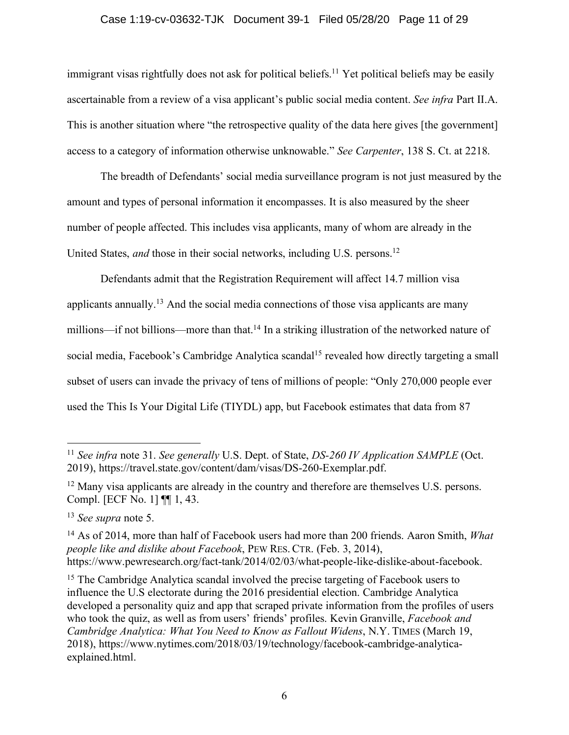### Case 1:19-cv-03632-TJK Document 39-1 Filed 05/28/20 Page 11 of 29

immigrant visas rightfully does not ask for political beliefs.<sup>11</sup> Yet political beliefs may be easily ascertainable from a review of a visa applicant's public social media content. *See infra* Part II.A. This is another situation where "the retrospective quality of the data here gives [the government] access to a category of information otherwise unknowable." *See Carpenter*, 138 S. Ct. at 2218.

The breadth of Defendants' social media surveillance program is not just measured by the amount and types of personal information it encompasses. It is also measured by the sheer number of people affected. This includes visa applicants, many of whom are already in the United States, *and* those in their social networks, including U.S. persons. 12

Defendants admit that the Registration Requirement will affect 14.7 million visa applicants annually.13 And the social media connections of those visa applicants are many millions—if not billions—more than that.<sup>14</sup> In a striking illustration of the networked nature of social media, Facebook's Cambridge Analytica scandal<sup>15</sup> revealed how directly targeting a small subset of users can invade the privacy of tens of millions of people: "Only 270,000 people ever used the This Is Your Digital Life (TIYDL) app, but Facebook estimates that data from 87

 <sup>11</sup> *See infra* note 31. *See generally* U.S. Dept. of State, *DS-260 IV Application SAMPLE* (Oct. 2019), https://travel.state.gov/content/dam/visas/DS-260-Exemplar.pdf.

<sup>&</sup>lt;sup>12</sup> Many visa applicants are already in the country and therefore are themselves U.S. persons. Compl. [ECF No. 1] ¶¶ 1, 43.

<sup>13</sup> *See supra* note 5.

<sup>14</sup> As of 2014, more than half of Facebook users had more than 200 friends. Aaron Smith, *What people like and dislike about Facebook*, PEW RES. CTR. (Feb. 3, 2014), https://www.pewresearch.org/fact-tank/2014/02/03/what-people-like-dislike-about-facebook.

<sup>&</sup>lt;sup>15</sup> The Cambridge Analytica scandal involved the precise targeting of Facebook users to influence the U.S electorate during the 2016 presidential election. Cambridge Analytica developed a personality quiz and app that scraped private information from the profiles of users who took the quiz, as well as from users' friends' profiles. Kevin Granville, *Facebook and Cambridge Analytica: What You Need to Know as Fallout Widens*, N.Y. TIMES (March 19, 2018), https://www.nytimes.com/2018/03/19/technology/facebook-cambridge-analyticaexplained.html.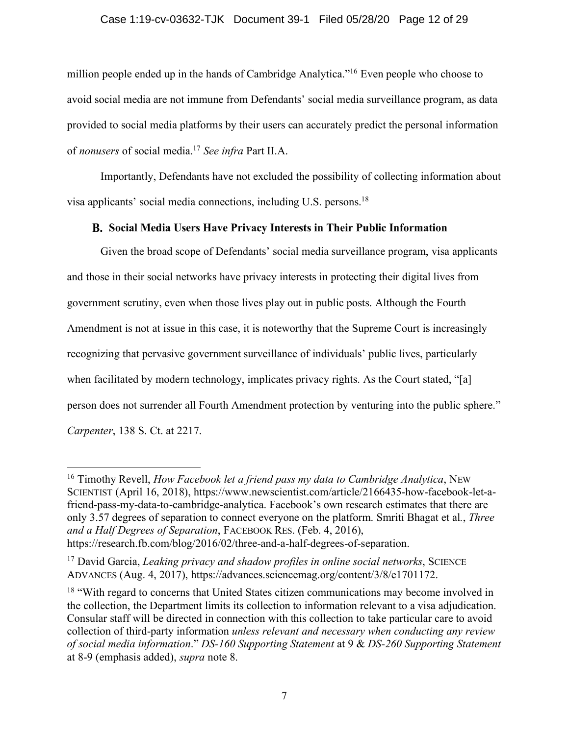### Case 1:19-cv-03632-TJK Document 39-1 Filed 05/28/20 Page 12 of 29

million people ended up in the hands of Cambridge Analytica."16 Even people who choose to avoid social media are not immune from Defendants' social media surveillance program, as data provided to social media platforms by their users can accurately predict the personal information of *nonusers* of social media.17 *See infra* Part II.A.

Importantly, Defendants have not excluded the possibility of collecting information about visa applicants' social media connections, including U.S. persons.18

## **B.** Social Media Users Have Privacy Interests in Their Public Information

Given the broad scope of Defendants' social media surveillance program, visa applicants and those in their social networks have privacy interests in protecting their digital lives from government scrutiny, even when those lives play out in public posts. Although the Fourth Amendment is not at issue in this case, it is noteworthy that the Supreme Court is increasingly recognizing that pervasive government surveillance of individuals' public lives, particularly when facilitated by modern technology, implicates privacy rights. As the Court stated, "[a] person does not surrender all Fourth Amendment protection by venturing into the public sphere." *Carpenter*, 138 S. Ct. at 2217.

<sup>&</sup>lt;sup>16</sup> Timothy Revell, *How Facebook let a friend pass my data to Cambridge Analytica*, NEW SCIENTIST (April 16, 2018), https://www.newscientist.com/article/2166435-how-facebook-let-afriend-pass-my-data-to-cambridge-analytica. Facebook's own research estimates that there are only 3.57 degrees of separation to connect everyone on the platform. Smriti Bhagat et al*.*, *Three and a Half Degrees of Separation*, FACEBOOK RES. (Feb. 4, 2016), https://research.fb.com/blog/2016/02/three-and-a-half-degrees-of-separation.

<sup>17</sup> David Garcia, *Leaking privacy and shadow profiles in online social networks*, SCIENCE ADVANCES (Aug. 4, 2017), https://advances.sciencemag.org/content/3/8/e1701172.

<sup>&</sup>lt;sup>18</sup> "With regard to concerns that United States citizen communications may become involved in the collection, the Department limits its collection to information relevant to a visa adjudication. Consular staff will be directed in connection with this collection to take particular care to avoid collection of third-party information *unless relevant and necessary when conducting any review of social media information*." *DS-160 Supporting Statement* at 9 & *DS-260 Supporting Statement* at 8-9 (emphasis added), *supra* note 8.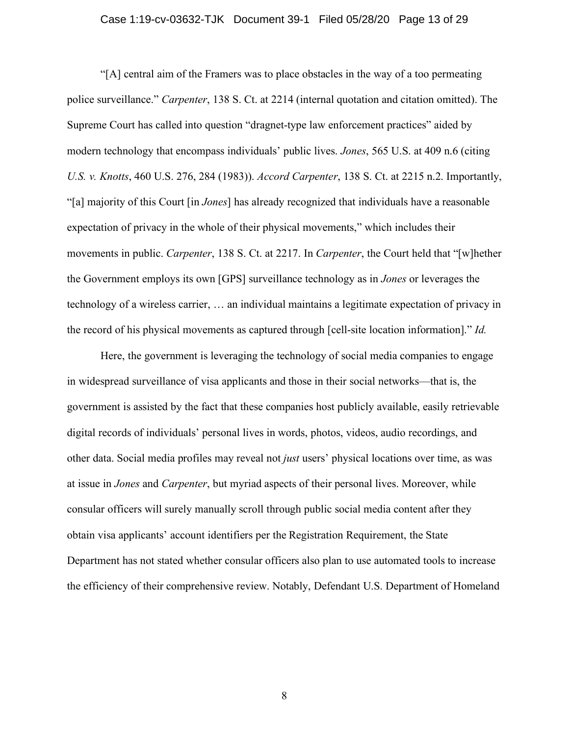#### Case 1:19-cv-03632-TJK Document 39-1 Filed 05/28/20 Page 13 of 29

"[A] central aim of the Framers was to place obstacles in the way of a too permeating police surveillance." *Carpenter*, 138 S. Ct. at 2214 (internal quotation and citation omitted). The Supreme Court has called into question "dragnet-type law enforcement practices" aided by modern technology that encompass individuals' public lives. *Jones*, 565 U.S. at 409 n.6 (citing *U.S. v. Knotts*, 460 U.S. 276, 284 (1983)). *Accord Carpenter*, 138 S. Ct. at 2215 n.2. Importantly, "[a] majority of this Court [in *Jones*] has already recognized that individuals have a reasonable expectation of privacy in the whole of their physical movements," which includes their movements in public. *Carpenter*, 138 S. Ct. at 2217. In *Carpenter*, the Court held that "[w]hether the Government employs its own [GPS] surveillance technology as in *Jones* or leverages the technology of a wireless carrier, … an individual maintains a legitimate expectation of privacy in the record of his physical movements as captured through [cell-site location information]." *Id.*

Here, the government is leveraging the technology of social media companies to engage in widespread surveillance of visa applicants and those in their social networks—that is, the government is assisted by the fact that these companies host publicly available, easily retrievable digital records of individuals' personal lives in words, photos, videos, audio recordings, and other data. Social media profiles may reveal not *just* users' physical locations over time, as was at issue in *Jones* and *Carpenter*, but myriad aspects of their personal lives. Moreover, while consular officers will surely manually scroll through public social media content after they obtain visa applicants' account identifiers per the Registration Requirement, the State Department has not stated whether consular officers also plan to use automated tools to increase the efficiency of their comprehensive review. Notably, Defendant U.S. Department of Homeland

8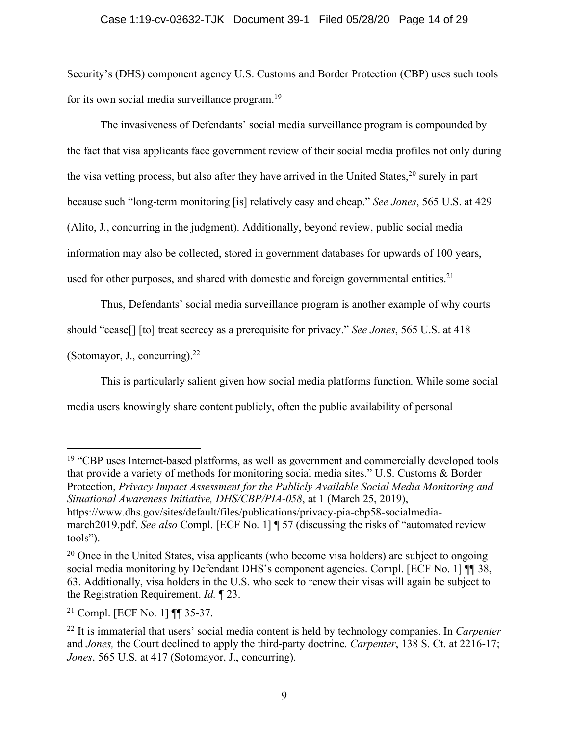Security's (DHS) component agency U.S. Customs and Border Protection (CBP) uses such tools for its own social media surveillance program.19

The invasiveness of Defendants' social media surveillance program is compounded by the fact that visa applicants face government review of their social media profiles not only during the visa vetting process, but also after they have arrived in the United States,<sup>20</sup> surely in part because such "long-term monitoring [is] relatively easy and cheap." *See Jones*, 565 U.S. at 429 (Alito, J., concurring in the judgment). Additionally, beyond review, public social media information may also be collected, stored in government databases for upwards of 100 years, used for other purposes, and shared with domestic and foreign governmental entities.<sup>21</sup>

Thus, Defendants' social media surveillance program is another example of why courts should "cease[] [to] treat secrecy as a prerequisite for privacy." *See Jones*, 565 U.S. at 418

(Sotomayor, J., concurring). $22$ 

This is particularly salient given how social media platforms function. While some social media users knowingly share content publicly, often the public availability of personal

<sup>&</sup>lt;sup>19</sup> "CBP uses Internet-based platforms, as well as government and commercially developed tools that provide a variety of methods for monitoring social media sites." U.S. Customs & Border Protection, *Privacy Impact Assessment for the Publicly Available Social Media Monitoring and Situational Awareness Initiative, DHS/CBP/PIA-058*, at 1 (March 25, 2019), https://www.dhs.gov/sites/default/files/publications/privacy-pia-cbp58-socialmediamarch2019.pdf. *See also* Compl. [ECF No. 1] ¶ 57 (discussing the risks of "automated review tools").

 $20$  Once in the United States, visa applicants (who become visa holders) are subject to ongoing social media monitoring by Defendant DHS's component agencies. Compl. [ECF No. 1]  $\P$  38, 63. Additionally, visa holders in the U.S. who seek to renew their visas will again be subject to the Registration Requirement. *Id.* ¶ 23.

<sup>21</sup> Compl. [ECF No. 1] ¶¶ 35-37.

<sup>22</sup> It is immaterial that users' social media content is held by technology companies. In *Carpenter* and *Jones,* the Court declined to apply the third-party doctrine. *Carpenter*, 138 S. Ct. at 2216-17; *Jones*, 565 U.S. at 417 (Sotomayor, J., concurring).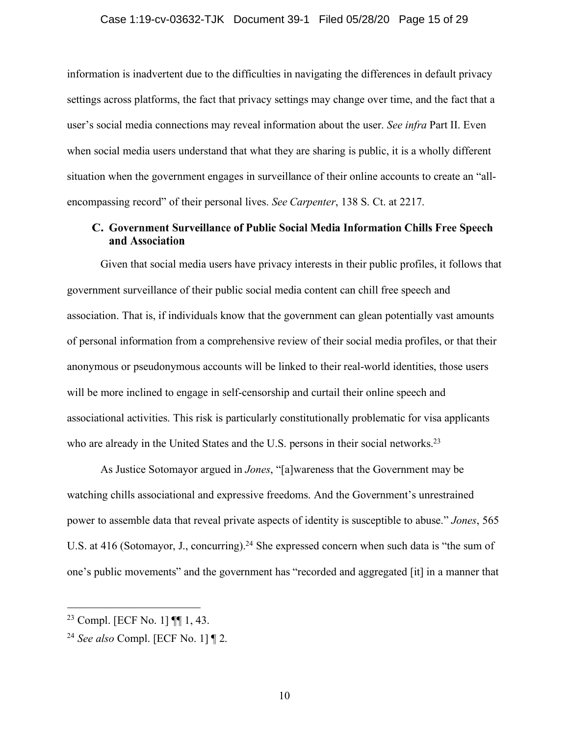information is inadvertent due to the difficulties in navigating the differences in default privacy settings across platforms, the fact that privacy settings may change over time, and the fact that a user's social media connections may reveal information about the user. *See infra* Part II. Even when social media users understand that what they are sharing is public, it is a wholly different situation when the government engages in surveillance of their online accounts to create an "allencompassing record" of their personal lives. *See Carpenter*, 138 S. Ct. at 2217.

## C. Government Surveillance of Public Social Media Information Chills Free Speech and Association

Given that social media users have privacy interests in their public profiles, it follows that government surveillance of their public social media content can chill free speech and association. That is, if individuals know that the government can glean potentially vast amounts of personal information from a comprehensive review of their social media profiles, or that their anonymous or pseudonymous accounts will be linked to their real-world identities, those users will be more inclined to engage in self-censorship and curtail their online speech and associational activities. This risk is particularly constitutionally problematic for visa applicants who are already in the United States and the U.S. persons in their social networks.<sup>23</sup>

As Justice Sotomayor argued in *Jones*, "[a]wareness that the Government may be watching chills associational and expressive freedoms. And the Government's unrestrained power to assemble data that reveal private aspects of identity is susceptible to abuse." *Jones*, 565 U.S. at 416 (Sotomayor, J., concurring).<sup>24</sup> She expressed concern when such data is "the sum of one's public movements" and the government has "recorded and aggregated [it] in a manner that

 <sup>23</sup> Compl. [ECF No. 1] ¶¶ 1, 43.

<sup>24</sup> *See also* Compl. [ECF No. 1] ¶ 2.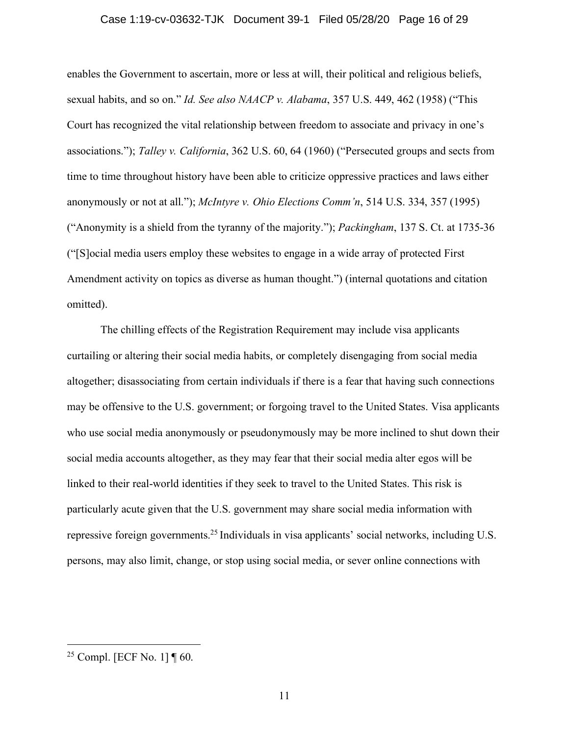#### Case 1:19-cv-03632-TJK Document 39-1 Filed 05/28/20 Page 16 of 29

enables the Government to ascertain, more or less at will, their political and religious beliefs, sexual habits, and so on." *Id. See also NAACP v. Alabama*, 357 U.S. 449, 462 (1958) ("This Court has recognized the vital relationship between freedom to associate and privacy in one's associations."); *Talley v. California*, 362 U.S. 60, 64 (1960) ("Persecuted groups and sects from time to time throughout history have been able to criticize oppressive practices and laws either anonymously or not at all."); *McIntyre v. Ohio Elections Comm'n*, 514 U.S. 334, 357 (1995) ("Anonymity is a shield from the tyranny of the majority."); *Packingham*, 137 S. Ct. at 1735-36 ("[S]ocial media users employ these websites to engage in a wide array of protected First Amendment activity on topics as diverse as human thought.") (internal quotations and citation omitted).

The chilling effects of the Registration Requirement may include visa applicants curtailing or altering their social media habits, or completely disengaging from social media altogether; disassociating from certain individuals if there is a fear that having such connections may be offensive to the U.S. government; or forgoing travel to the United States. Visa applicants who use social media anonymously or pseudonymously may be more inclined to shut down their social media accounts altogether, as they may fear that their social media alter egos will be linked to their real-world identities if they seek to travel to the United States. This risk is particularly acute given that the U.S. government may share social media information with repressive foreign governments.25 Individuals in visa applicants' social networks, including U.S. persons, may also limit, change, or stop using social media, or sever online connections with

<sup>&</sup>lt;sup>25</sup> Compl. [ECF No. 1] ¶ 60.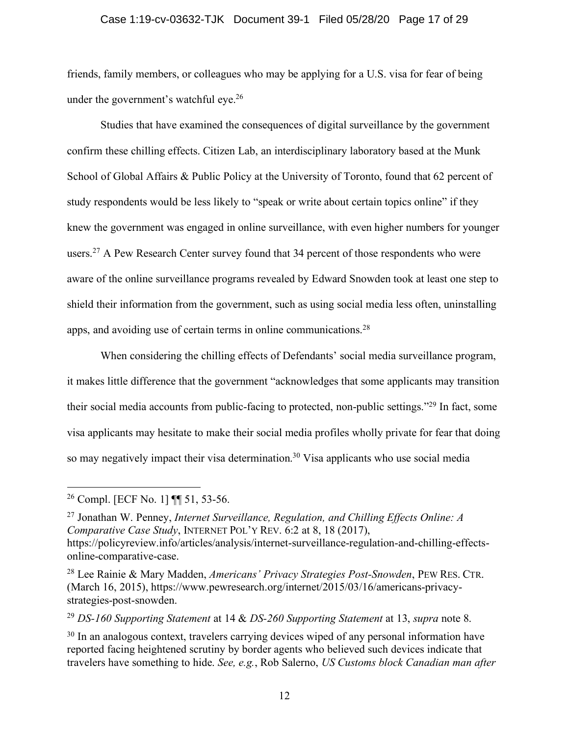#### Case 1:19-cv-03632-TJK Document 39-1 Filed 05/28/20 Page 17 of 29

friends, family members, or colleagues who may be applying for a U.S. visa for fear of being under the government's watchful eye.<sup>26</sup>

Studies that have examined the consequences of digital surveillance by the government confirm these chilling effects. Citizen Lab, an interdisciplinary laboratory based at the Munk School of Global Affairs & Public Policy at the University of Toronto, found that 62 percent of study respondents would be less likely to "speak or write about certain topics online" if they knew the government was engaged in online surveillance, with even higher numbers for younger users.<sup>27</sup> A Pew Research Center survey found that 34 percent of those respondents who were aware of the online surveillance programs revealed by Edward Snowden took at least one step to shield their information from the government, such as using social media less often, uninstalling apps, and avoiding use of certain terms in online communications.<sup>28</sup>

When considering the chilling effects of Defendants' social media surveillance program, it makes little difference that the government "acknowledges that some applicants may transition their social media accounts from public-facing to protected, non-public settings."29 In fact, some visa applicants may hesitate to make their social media profiles wholly private for fear that doing so may negatively impact their visa determination.<sup>30</sup> Visa applicants who use social media

<sup>27</sup> Jonathan W. Penney, *Internet Surveillance, Regulation, and Chilling Effects Online: A Comparative Case Study*, INTERNET POL'Y REV. 6:2 at 8, 18 (2017), https://policyreview.info/articles/analysis/internet-surveillance-regulation-and-chilling-effectsonline-comparative-case.

 <sup>26</sup> Compl. [ECF No. 1] ¶¶ 51, 53-56.

<sup>28</sup> Lee Rainie & Mary Madden, *Americans' Privacy Strategies Post-Snowden*, PEW RES. CTR. (March 16, 2015), https://www.pewresearch.org/internet/2015/03/16/americans-privacystrategies-post-snowden.

<sup>29</sup> *DS-160 Supporting Statement* at 14 & *DS-260 Supporting Statement* at 13, *supra* note 8.

<sup>&</sup>lt;sup>30</sup> In an analogous context, travelers carrying devices wiped of any personal information have reported facing heightened scrutiny by border agents who believed such devices indicate that travelers have something to hide. *See, e.g.*, Rob Salerno, *US Customs block Canadian man after*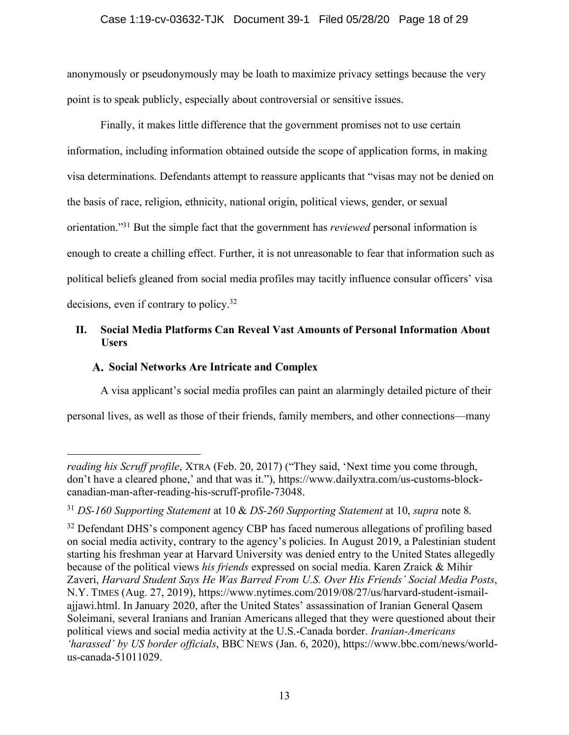anonymously or pseudonymously may be loath to maximize privacy settings because the very point is to speak publicly, especially about controversial or sensitive issues.

Finally, it makes little difference that the government promises not to use certain information, including information obtained outside the scope of application forms, in making visa determinations. Defendants attempt to reassure applicants that "visas may not be denied on the basis of race, religion, ethnicity, national origin, political views, gender, or sexual orientation."31 But the simple fact that the government has *reviewed* personal information is enough to create a chilling effect. Further, it is not unreasonable to fear that information such as political beliefs gleaned from social media profiles may tacitly influence consular officers' visa decisions, even if contrary to policy.32

## **II. Social Media Platforms Can Reveal Vast Amounts of Personal Information About Users**

## A. Social Networks Are Intricate and Complex

 $\overline{a}$ 

A visa applicant's social media profiles can paint an alarmingly detailed picture of their

personal lives, as well as those of their friends, family members, and other connections—many

*reading his Scruff profile*, XTRA (Feb. 20, 2017) ("They said, 'Next time you come through, don't have a cleared phone,' and that was it."), https://www.dailyxtra.com/us-customs-blockcanadian-man-after-reading-his-scruff-profile-73048.

<sup>31</sup> *DS-160 Supporting Statement* at 10 & *DS-260 Supporting Statement* at 10, *supra* note 8.

<sup>&</sup>lt;sup>32</sup> Defendant DHS's component agency CBP has faced numerous allegations of profiling based on social media activity, contrary to the agency's policies. In August 2019, a Palestinian student starting his freshman year at Harvard University was denied entry to the United States allegedly because of the political views *his friends* expressed on social media. Karen Zraick & Mihir Zaveri, *Harvard Student Says He Was Barred From U.S. Over His Friends' Social Media Posts*, N.Y. TIMES (Aug. 27, 2019), https://www.nytimes.com/2019/08/27/us/harvard-student-ismailajjawi.html. In January 2020, after the United States' assassination of Iranian General Qasem Soleimani, several Iranians and Iranian Americans alleged that they were questioned about their political views and social media activity at the U.S.-Canada border. *Iranian-Americans 'harassed' by US border officials*, BBC NEWS (Jan. 6, 2020), https://www.bbc.com/news/worldus-canada-51011029.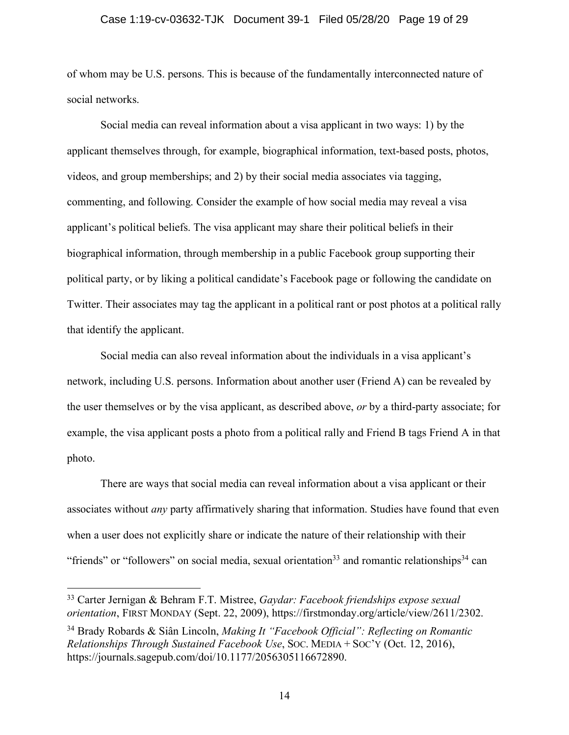#### Case 1:19-cv-03632-TJK Document 39-1 Filed 05/28/20 Page 19 of 29

of whom may be U.S. persons. This is because of the fundamentally interconnected nature of social networks.

Social media can reveal information about a visa applicant in two ways: 1) by the applicant themselves through, for example, biographical information, text-based posts, photos, videos, and group memberships; and 2) by their social media associates via tagging, commenting, and following. Consider the example of how social media may reveal a visa applicant's political beliefs. The visa applicant may share their political beliefs in their biographical information, through membership in a public Facebook group supporting their political party, or by liking a political candidate's Facebook page or following the candidate on Twitter. Their associates may tag the applicant in a political rant or post photos at a political rally that identify the applicant.

Social media can also reveal information about the individuals in a visa applicant's network, including U.S. persons. Information about another user (Friend A) can be revealed by the user themselves or by the visa applicant, as described above, *or* by a third-party associate; for example, the visa applicant posts a photo from a political rally and Friend B tags Friend A in that photo.

There are ways that social media can reveal information about a visa applicant or their associates without *any* party affirmatively sharing that information. Studies have found that even when a user does not explicitly share or indicate the nature of their relationship with their "friends" or "followers" on social media, sexual orientation<sup>33</sup> and romantic relationships<sup>34</sup> can

 <sup>33</sup> Carter Jernigan & Behram F.T. Mistree, *Gaydar: Facebook friendships expose sexual orientation*, FIRST MONDAY (Sept. 22, 2009), https://firstmonday.org/article/view/2611/2302.

<sup>34</sup> Brady Robards & Siân Lincoln, *Making It "Facebook Official": Reflecting on Romantic Relationships Through Sustained Facebook Use*, SOC. MEDIA + SOC'Y (Oct. 12, 2016), https://journals.sagepub.com/doi/10.1177/2056305116672890.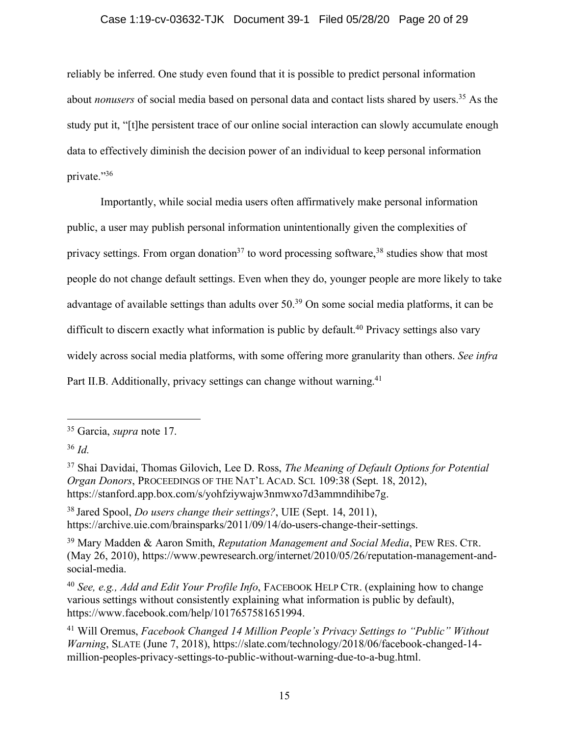### Case 1:19-cv-03632-TJK Document 39-1 Filed 05/28/20 Page 20 of 29

reliably be inferred. One study even found that it is possible to predict personal information about *nonusers* of social media based on personal data and contact lists shared by users.<sup>35</sup> As the study put it, "[t]he persistent trace of our online social interaction can slowly accumulate enough data to effectively diminish the decision power of an individual to keep personal information private."36

Importantly, while social media users often affirmatively make personal information public, a user may publish personal information unintentionally given the complexities of privacy settings. From organ donation<sup>37</sup> to word processing software,  $38$  studies show that most people do not change default settings. Even when they do, younger people are more likely to take advantage of available settings than adults over 50.<sup>39</sup> On some social media platforms, it can be difficult to discern exactly what information is public by default.<sup>40</sup> Privacy settings also vary widely across social media platforms, with some offering more granularity than others. *See infra* Part II.B. Additionally, privacy settings can change without warning.<sup>41</sup>

 <sup>35</sup> Garcia, *supra* note 17.

<sup>36</sup> *Id.*

<sup>37</sup> Shai Davidai, Thomas Gilovich, Lee D. Ross, *The Meaning of Default Options for Potential Organ Donors*, PROCEEDINGS OF THE NAT'L ACAD. SCI. 109:38 (Sept. 18, 2012), https://stanford.app.box.com/s/yohfziywajw3nmwxo7d3ammndihibe7g.

<sup>38</sup> Jared Spool, *Do users change their settings?*, UIE (Sept. 14, 2011), https://archive.uie.com/brainsparks/2011/09/14/do-users-change-their-settings.

<sup>39</sup> Mary Madden & Aaron Smith, *Reputation Management and Social Media*, PEW RES. CTR. (May 26, 2010), https://www.pewresearch.org/internet/2010/05/26/reputation-management-andsocial-media.

<sup>40</sup> *See, e.g., Add and Edit Your Profile Info*, FACEBOOK HELP CTR. (explaining how to change various settings without consistently explaining what information is public by default), https://www.facebook.com/help/1017657581651994.

<sup>41</sup> Will Oremus, *Facebook Changed 14 Million People's Privacy Settings to "Public" Without Warning*, SLATE (June 7, 2018), https://slate.com/technology/2018/06/facebook-changed-14 million-peoples-privacy-settings-to-public-without-warning-due-to-a-bug.html.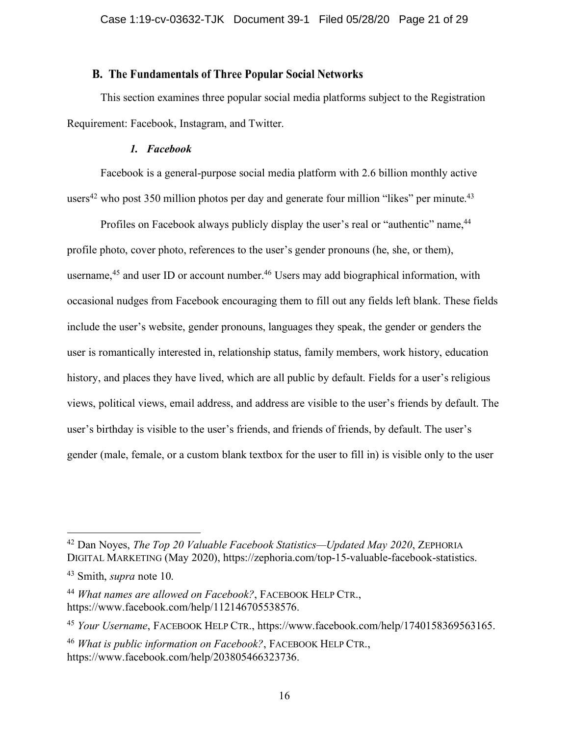## **B. The Fundamentals of Three Popular Social Networks**

This section examines three popular social media platforms subject to the Registration Requirement: Facebook, Instagram, and Twitter.

### *1. Facebook*

Facebook is a general-purpose social media platform with 2.6 billion monthly active users<sup>42</sup> who post 350 million photos per day and generate four million "likes" per minute.<sup>43</sup>

Profiles on Facebook always publicly display the user's real or "authentic" name,<sup>44</sup> profile photo, cover photo, references to the user's gender pronouns (he, she, or them), username,<sup>45</sup> and user ID or account number.<sup>46</sup> Users may add biographical information, with occasional nudges from Facebook encouraging them to fill out any fields left blank. These fields include the user's website, gender pronouns, languages they speak, the gender or genders the user is romantically interested in, relationship status, family members, work history, education history, and places they have lived, which are all public by default. Fields for a user's religious views, political views, email address, and address are visible to the user's friends by default. The user's birthday is visible to the user's friends, and friends of friends, by default. The user's gender (male, female, or a custom blank textbox for the user to fill in) is visible only to the user

<sup>42</sup> Dan Noyes, *The Top 20 Valuable Facebook Statistics—Updated May 2020*, ZEPHORIA DIGITAL MARKETING (May 2020), https://zephoria.com/top-15-valuable-facebook-statistics.

<sup>43</sup> Smith, *supra* note 10.

<sup>44</sup> *What names are allowed on Facebook?*, FACEBOOK HELP CTR., https://www.facebook.com/help/112146705538576.

<sup>45</sup> *Your Username*, FACEBOOK HELP CTR., https://www.facebook.com/help/1740158369563165.

<sup>46</sup> *What is public information on Facebook?*, FACEBOOK HELP CTR., https://www.facebook.com/help/203805466323736.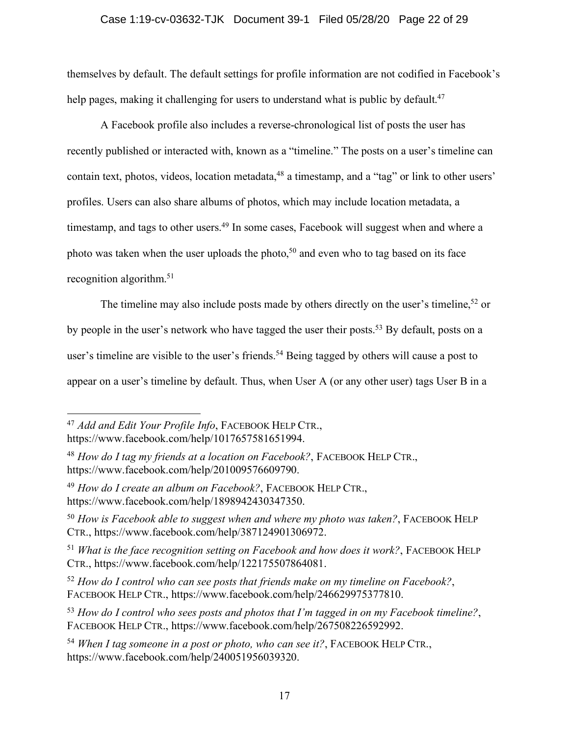### Case 1:19-cv-03632-TJK Document 39-1 Filed 05/28/20 Page 22 of 29

themselves by default. The default settings for profile information are not codified in Facebook's help pages, making it challenging for users to understand what is public by default.<sup>47</sup>

A Facebook profile also includes a reverse-chronological list of posts the user has recently published or interacted with, known as a "timeline." The posts on a user's timeline can contain text, photos, videos, location metadata,<sup>48</sup> a timestamp, and a "tag" or link to other users' profiles. Users can also share albums of photos, which may include location metadata, a timestamp, and tags to other users.<sup>49</sup> In some cases, Facebook will suggest when and where a photo was taken when the user uploads the photo, <sup>50</sup> and even who to tag based on its face recognition algorithm. 51

The timeline may also include posts made by others directly on the user's timeline,<sup>52</sup> or by people in the user's network who have tagged the user their posts.<sup>53</sup> By default, posts on a user's timeline are visible to the user's friends.<sup>54</sup> Being tagged by others will cause a post to appear on a user's timeline by default. Thus, when User A (or any other user) tags User B in a

 <sup>47</sup> *Add and Edit Your Profile Info*, FACEBOOK HELP CTR., https://www.facebook.com/help/1017657581651994.

<sup>48</sup> *How do I tag my friends at a location on Facebook?*, FACEBOOK HELP CTR., https://www.facebook.com/help/201009576609790.

<sup>49</sup> *How do I create an album on Facebook?*, FACEBOOK HELP CTR., https://www.facebook.com/help/1898942430347350.

<sup>50</sup> *How is Facebook able to suggest when and where my photo was taken?*, FACEBOOK HELP CTR., https://www.facebook.com/help/387124901306972.

<sup>51</sup> *What is the face recognition setting on Facebook and how does it work?*, FACEBOOK HELP CTR., https://www.facebook.com/help/122175507864081.

<sup>52</sup> *How do I control who can see posts that friends make on my timeline on Facebook?*, FACEBOOK HELP CTR., https://www.facebook.com/help/246629975377810.

<sup>53</sup> *How do I control who sees posts and photos that I'm tagged in on my Facebook timeline?*, FACEBOOK HELP CTR., https://www.facebook.com/help/267508226592992.

<sup>54</sup> *When I tag someone in a post or photo, who can see it?*, FACEBOOK HELP CTR., https://www.facebook.com/help/240051956039320.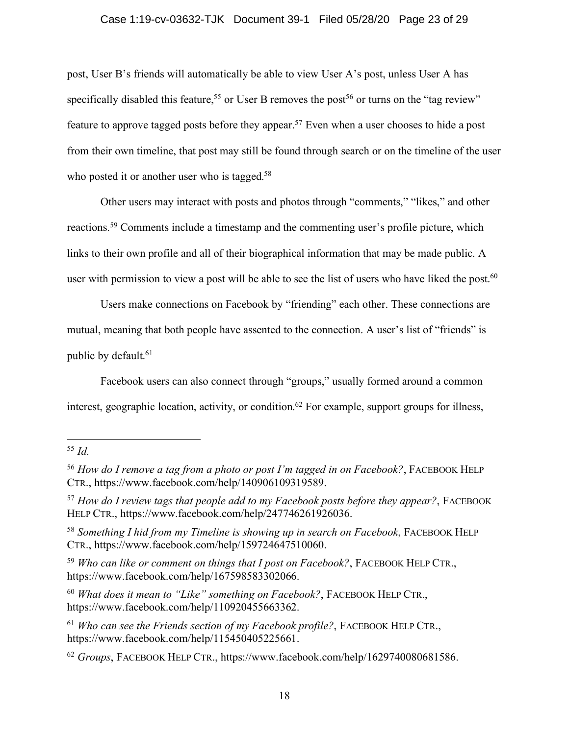### Case 1:19-cv-03632-TJK Document 39-1 Filed 05/28/20 Page 23 of 29

post, User B's friends will automatically be able to view User A's post, unless User A has specifically disabled this feature,<sup>55</sup> or User B removes the post<sup>56</sup> or turns on the "tag review" feature to approve tagged posts before they appear.57 Even when a user chooses to hide a post from their own timeline, that post may still be found through search or on the timeline of the user who posted it or another user who is tagged.<sup>58</sup>

Other users may interact with posts and photos through "comments," "likes," and other reactions.59 Comments include a timestamp and the commenting user's profile picture, which links to their own profile and all of their biographical information that may be made public. A user with permission to view a post will be able to see the list of users who have liked the post.<sup>60</sup>

Users make connections on Facebook by "friending" each other. These connections are mutual, meaning that both people have assented to the connection. A user's list of "friends" is public by default.<sup>61</sup>

Facebook users can also connect through "groups," usually formed around a common interest, geographic location, activity, or condition.<sup>62</sup> For example, support groups for illness,

 <sup>55</sup> *Id.*

<sup>56</sup> *How do I remove a tag from a photo or post I'm tagged in on Facebook?*, FACEBOOK HELP CTR., https://www.facebook.com/help/140906109319589.

<sup>57</sup> *How do I review tags that people add to my Facebook posts before they appear?*, FACEBOOK HELP CTR., https://www.facebook.com/help/247746261926036.

<sup>58</sup> *Something I hid from my Timeline is showing up in search on Facebook*, FACEBOOK HELP CTR., https://www.facebook.com/help/159724647510060.

<sup>59</sup> *Who can like or comment on things that I post on Facebook?*, FACEBOOK HELP CTR., https://www.facebook.com/help/167598583302066.

<sup>60</sup> *What does it mean to "Like" something on Facebook?*, FACEBOOK HELP CTR., https://www.facebook.com/help/110920455663362.

<sup>61</sup> *Who can see the Friends section of my Facebook profile?*, FACEBOOK HELP CTR., https://www.facebook.com/help/115450405225661.

<sup>62</sup> *Groups*, FACEBOOK HELP CTR., https://www.facebook.com/help/1629740080681586.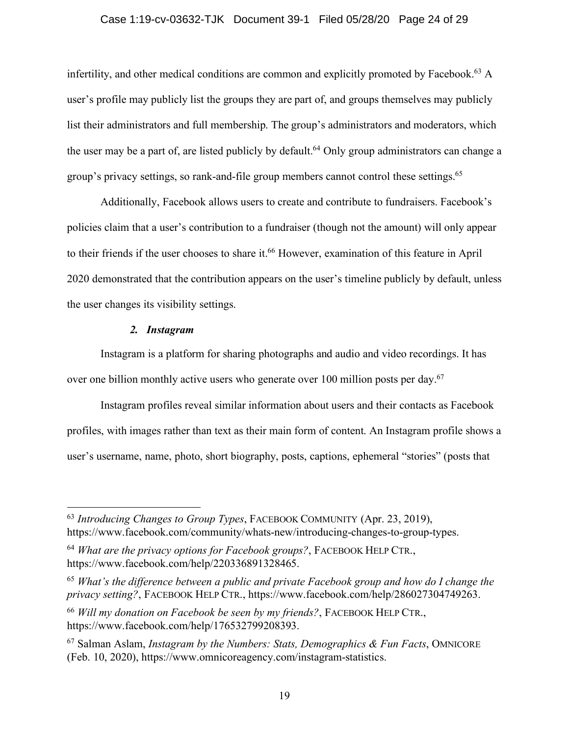### Case 1:19-cv-03632-TJK Document 39-1 Filed 05/28/20 Page 24 of 29

infertility, and other medical conditions are common and explicitly promoted by Facebook.<sup>63</sup> A user's profile may publicly list the groups they are part of, and groups themselves may publicly list their administrators and full membership. The group's administrators and moderators, which the user may be a part of, are listed publicly by default.<sup>64</sup> Only group administrators can change a group's privacy settings, so rank-and-file group members cannot control these settings.<sup>65</sup>

Additionally, Facebook allows users to create and contribute to fundraisers. Facebook's policies claim that a user's contribution to a fundraiser (though not the amount) will only appear to their friends if the user chooses to share it.<sup>66</sup> However, examination of this feature in April 2020 demonstrated that the contribution appears on the user's timeline publicly by default, unless the user changes its visibility settings.

### *2. Instagram*

Instagram is a platform for sharing photographs and audio and video recordings. It has over one billion monthly active users who generate over 100 million posts per day.<sup>67</sup>

Instagram profiles reveal similar information about users and their contacts as Facebook profiles, with images rather than text as their main form of content. An Instagram profile shows a user's username, name, photo, short biography, posts, captions, ephemeral "stories" (posts that

 <sup>63</sup> *Introducing Changes to Group Types*, FACEBOOK COMMUNITY (Apr. 23, 2019), https://www.facebook.com/community/whats-new/introducing-changes-to-group-types.

<sup>64</sup> *What are the privacy options for Facebook groups?*, FACEBOOK HELP CTR., https://www.facebook.com/help/220336891328465.

<sup>65</sup> *What's the difference between a public and private Facebook group and how do I change the privacy setting?*, FACEBOOK HELP CTR., https://www.facebook.com/help/286027304749263.

<sup>66</sup> *Will my donation on Facebook be seen by my friends?*, FACEBOOK HELP CTR., https://www.facebook.com/help/176532799208393.

<sup>67</sup> Salman Aslam, *Instagram by the Numbers: Stats, Demographics & Fun Facts*, OMNICORE (Feb. 10, 2020), https://www.omnicoreagency.com/instagram-statistics.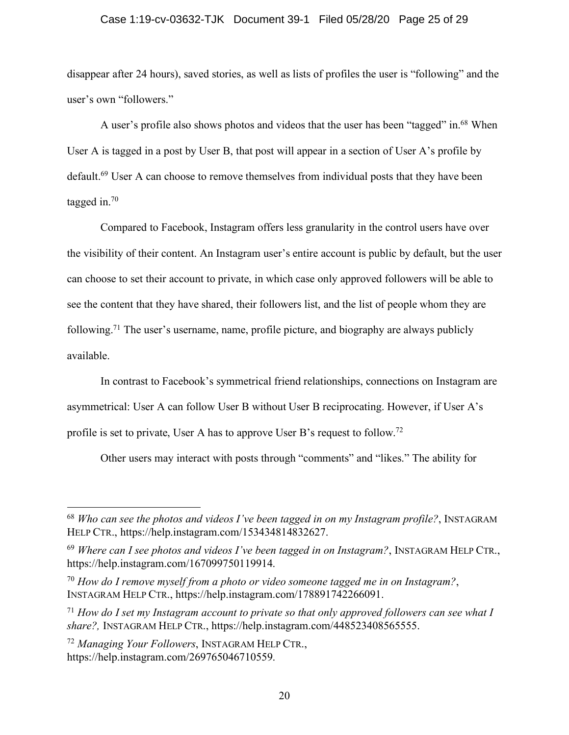#### Case 1:19-cv-03632-TJK Document 39-1 Filed 05/28/20 Page 25 of 29

disappear after 24 hours), saved stories, as well as lists of profiles the user is "following" and the user's own "followers."

A user's profile also shows photos and videos that the user has been "tagged" in.<sup>68</sup> When User A is tagged in a post by User B, that post will appear in a section of User A's profile by default.<sup>69</sup> User A can choose to remove themselves from individual posts that they have been tagged in.70

Compared to Facebook, Instagram offers less granularity in the control users have over the visibility of their content. An Instagram user's entire account is public by default, but the user can choose to set their account to private, in which case only approved followers will be able to see the content that they have shared, their followers list, and the list of people whom they are following.71 The user's username, name, profile picture, and biography are always publicly available.

In contrast to Facebook's symmetrical friend relationships, connections on Instagram are asymmetrical: User A can follow User B without User B reciprocating. However, if User A's profile is set to private, User A has to approve User B's request to follow.72

Other users may interact with posts through "comments" and "likes." The ability for

 <sup>68</sup> *Who can see the photos and videos I've been tagged in on my Instagram profile?*, INSTAGRAM HELP CTR., https://help.instagram.com/153434814832627.

<sup>69</sup> *Where can I see photos and videos I've been tagged in on Instagram?*, INSTAGRAM HELP CTR., https://help.instagram.com/167099750119914.

<sup>70</sup> *How do I remove myself from a photo or video someone tagged me in on Instagram?*, INSTAGRAM HELP CTR., https://help.instagram.com/178891742266091.

<sup>71</sup> *How do I set my Instagram account to private so that only approved followers can see what I share?,* INSTAGRAM HELP CTR., https://help.instagram.com/448523408565555.

<sup>72</sup> *Managing Your Followers*, INSTAGRAM HELP CTR., https://help.instagram.com/269765046710559.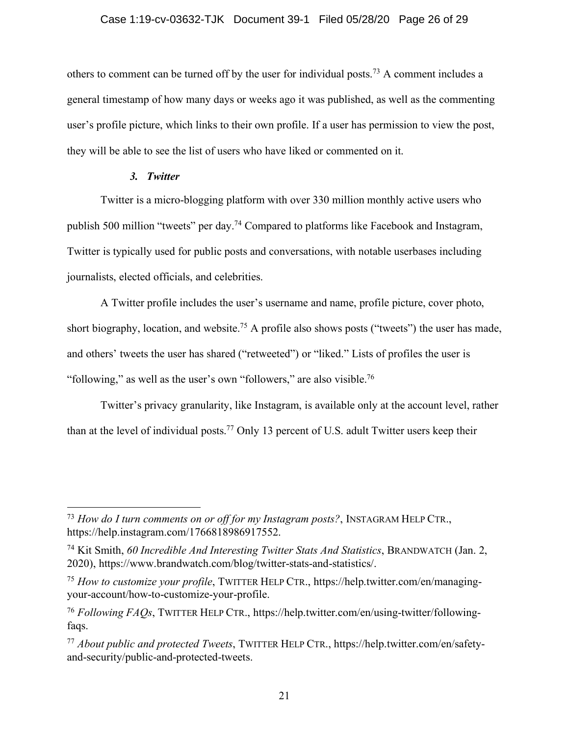others to comment can be turned off by the user for individual posts.73 A comment includes a general timestamp of how many days or weeks ago it was published, as well as the commenting user's profile picture, which links to their own profile. If a user has permission to view the post, they will be able to see the list of users who have liked or commented on it.

### *3. Twitter*

Twitter is a micro-blogging platform with over 330 million monthly active users who publish 500 million "tweets" per day.74 Compared to platforms like Facebook and Instagram, Twitter is typically used for public posts and conversations, with notable userbases including journalists, elected officials, and celebrities.

A Twitter profile includes the user's username and name, profile picture, cover photo, short biography, location, and website.<sup>75</sup> A profile also shows posts ("tweets") the user has made, and others' tweets the user has shared ("retweeted") or "liked." Lists of profiles the user is "following," as well as the user's own "followers," are also visible.<sup>76</sup>

Twitter's privacy granularity, like Instagram, is available only at the account level, rather than at the level of individual posts.<sup>77</sup> Only 13 percent of U.S. adult Twitter users keep their

<sup>73</sup> *How do I turn comments on or off for my Instagram posts?*, INSTAGRAM HELP CTR., https://help.instagram.com/1766818986917552.

<sup>74</sup> Kit Smith, *60 Incredible And Interesting Twitter Stats And Statistics*, BRANDWATCH (Jan. 2, 2020), https://www.brandwatch.com/blog/twitter-stats-and-statistics/.

<sup>75</sup> *How to customize your profile*, TWITTER HELP CTR., https://help.twitter.com/en/managingyour-account/how-to-customize-your-profile.

<sup>76</sup> *Following FAQs*, TWITTER HELP CTR., https://help.twitter.com/en/using-twitter/followingfaqs.

<sup>77</sup> *About public and protected Tweets*, TWITTER HELP CTR., https://help.twitter.com/en/safetyand-security/public-and-protected-tweets.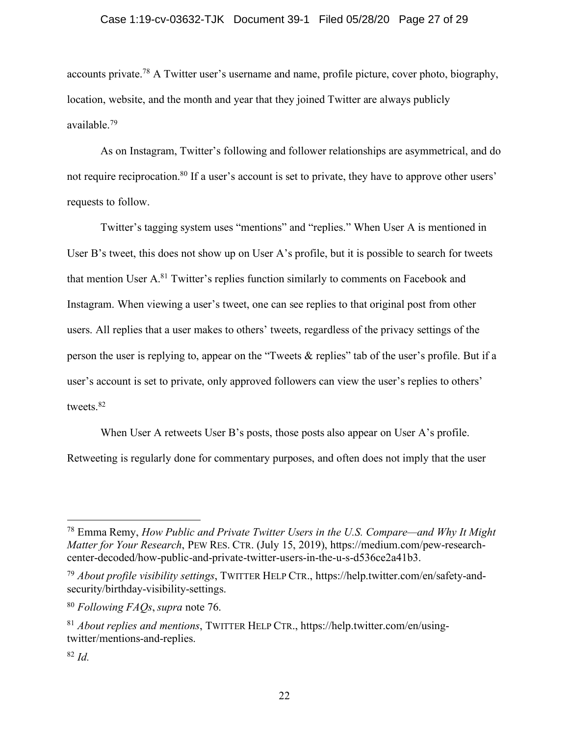#### Case 1:19-cv-03632-TJK Document 39-1 Filed 05/28/20 Page 27 of 29

accounts private.78 A Twitter user's username and name, profile picture, cover photo, biography, location, website, and the month and year that they joined Twitter are always publicly available.79

As on Instagram, Twitter's following and follower relationships are asymmetrical, and do not require reciprocation.<sup>80</sup> If a user's account is set to private, they have to approve other users' requests to follow.

Twitter's tagging system uses "mentions" and "replies." When User A is mentioned in User B's tweet, this does not show up on User A's profile, but it is possible to search for tweets that mention User A. <sup>81</sup> Twitter's replies function similarly to comments on Facebook and Instagram. When viewing a user's tweet, one can see replies to that original post from other users. All replies that a user makes to others' tweets, regardless of the privacy settings of the person the user is replying to, appear on the "Tweets & replies" tab of the user's profile. But if a user's account is set to private, only approved followers can view the user's replies to others' tweets<sup>82</sup>

When User A retweets User B's posts, those posts also appear on User A's profile. Retweeting is regularly done for commentary purposes, and often does not imply that the user

<sup>78</sup> Emma Remy, *How Public and Private Twitter Users in the U.S. Compare—and Why It Might Matter for Your Research*, PEW RES. CTR. (July 15, 2019), https://medium.com/pew-researchcenter-decoded/how-public-and-private-twitter-users-in-the-u-s-d536ce2a41b3.

<sup>79</sup> *About profile visibility settings*, TWITTER HELP CTR., https://help.twitter.com/en/safety-andsecurity/birthday-visibility-settings.

<sup>80</sup> *Following FAQs*, *supra* note 76.

<sup>81</sup> *About replies and mentions*, TWITTER HELP CTR., https://help.twitter.com/en/usingtwitter/mentions-and-replies.

<sup>82</sup> *Id.*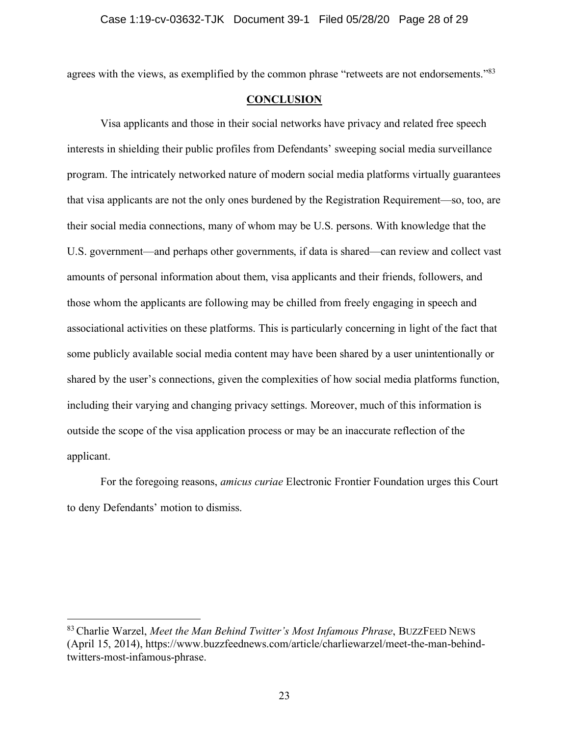agrees with the views, as exemplified by the common phrase "retweets are not endorsements."<sup>83</sup>

### **CONCLUSION**

Visa applicants and those in their social networks have privacy and related free speech interests in shielding their public profiles from Defendants' sweeping social media surveillance program. The intricately networked nature of modern social media platforms virtually guarantees that visa applicants are not the only ones burdened by the Registration Requirement—so, too, are their social media connections, many of whom may be U.S. persons. With knowledge that the U.S. government—and perhaps other governments, if data is shared—can review and collect vast amounts of personal information about them, visa applicants and their friends, followers, and those whom the applicants are following may be chilled from freely engaging in speech and associational activities on these platforms. This is particularly concerning in light of the fact that some publicly available social media content may have been shared by a user unintentionally or shared by the user's connections, given the complexities of how social media platforms function, including their varying and changing privacy settings. Moreover, much of this information is outside the scope of the visa application process or may be an inaccurate reflection of the applicant.

For the foregoing reasons, *amicus curiae* Electronic Frontier Foundation urges this Court to deny Defendants' motion to dismiss.

<sup>83</sup> Charlie Warzel, *Meet the Man Behind Twitter's Most Infamous Phrase*, BUZZFEED NEWS (April 15, 2014), https://www.buzzfeednews.com/article/charliewarzel/meet-the-man-behindtwitters-most-infamous-phrase.